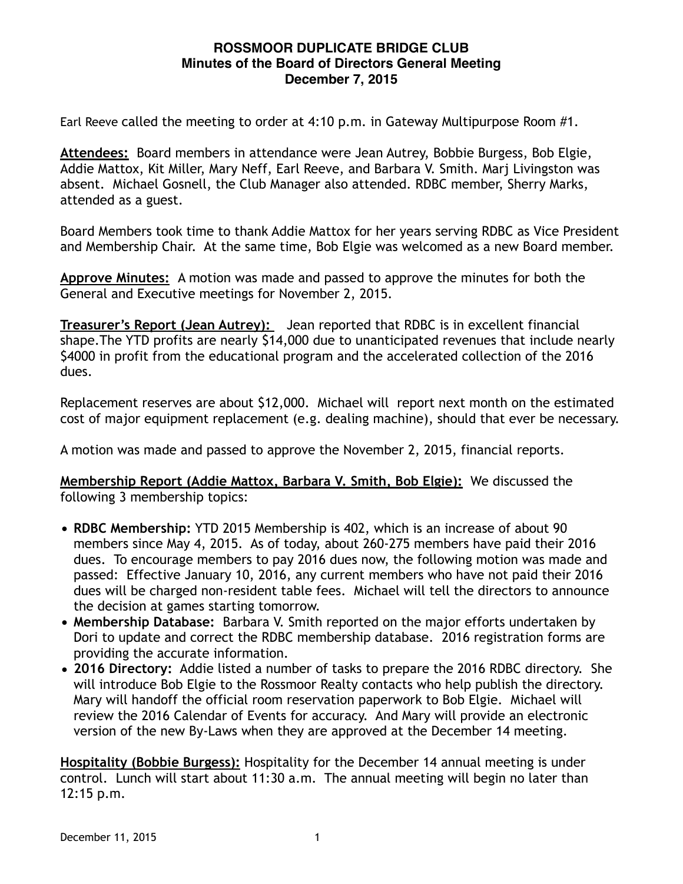## **ROSSMOOR DUPLICATE BRIDGE CLUB Minutes of the Board of Directors General Meeting December 7, 2015**

Earl Reeve called the meeting to order at 4:10 p.m. in Gateway Multipurpose Room #1.

**Attendees:** Board members in attendance were Jean Autrey, Bobbie Burgess, Bob Elgie, Addie Mattox, Kit Miller, Mary Neff, Earl Reeve, and Barbara V. Smith. Marj Livingston was absent. Michael Gosnell, the Club Manager also attended. RDBC member, Sherry Marks, attended as a guest.

Board Members took time to thank Addie Mattox for her years serving RDBC as Vice President and Membership Chair. At the same time, Bob Elgie was welcomed as a new Board member.

**Approve Minutes:** A motion was made and passed to approve the minutes for both the General and Executive meetings for November 2, 2015.

**Treasurer's Report (Jean Autrey):** Jean reported that RDBC is in excellent financial shape.The YTD profits are nearly \$14,000 due to unanticipated revenues that include nearly \$4000 in profit from the educational program and the accelerated collection of the 2016 dues.

Replacement reserves are about \$12,000. Michael will report next month on the estimated cost of major equipment replacement (e.g. dealing machine), should that ever be necessary.

A motion was made and passed to approve the November 2, 2015, financial reports.

**Membership Report (Addie Mattox, Barbara V. Smith, Bob Elgie):** We discussed the following 3 membership topics:

- **RDBC Membership:** YTD 2015 Membership is 402, which is an increase of about 90 members since May 4, 2015. As of today, about 260-275 members have paid their 2016 dues. To encourage members to pay 2016 dues now, the following motion was made and passed: Effective January 10, 2016, any current members who have not paid their 2016 dues will be charged non-resident table fees. Michael will tell the directors to announce the decision at games starting tomorrow.
- **Membership Database:** Barbara V. Smith reported on the major efforts undertaken by Dori to update and correct the RDBC membership database. 2016 registration forms are providing the accurate information.
- **2016 Directory:** Addie listed a number of tasks to prepare the 2016 RDBC directory. She will introduce Bob Elgie to the Rossmoor Realty contacts who help publish the directory. Mary will handoff the official room reservation paperwork to Bob Elgie. Michael will review the 2016 Calendar of Events for accuracy. And Mary will provide an electronic version of the new By-Laws when they are approved at the December 14 meeting.

**Hospitality (Bobbie Burgess):** Hospitality for the December 14 annual meeting is under control. Lunch will start about 11:30 a.m. The annual meeting will begin no later than 12:15 p.m.